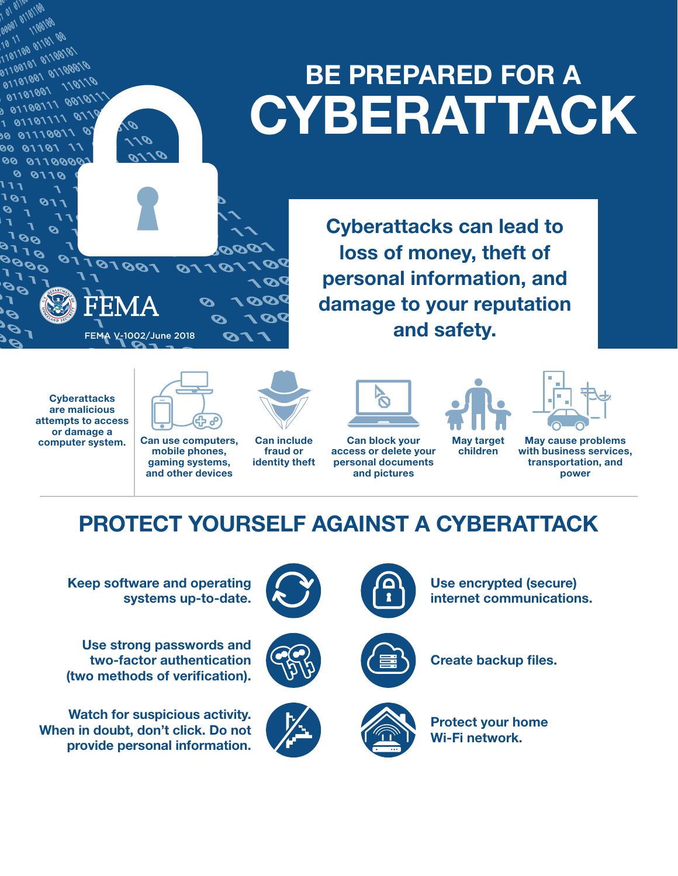## BE PREPARED FOR A **CYBERATTACK**

Cyberattacks can lead to loss of money, theft of personal information, and damage to your reputation and safety.

**Cyberattacks** are malicious attempts to access or damage a computer system.

01101100

00001 100101<br>10 11 01101 00<br>1101100 01101 001<br>11011001 011001 1101101 0110010<br>01100101 01100010<br>01101001 110111

01101001

1 01101111

10110 00

 $\delta$ 

 $\overline{\mathbf{v}}$ 8998<br>0998

 $111$ **101** 

Ø

D.

 $\boldsymbol{\rho}_{\boldsymbol{\mathcal{S}}}$ 

00 01110011

00 0110000 0 0110

**CTQ** 

 $\boldsymbol{\mathcal{S}}$ 

Ø.

011010011 00101

 $\mathscr{O}$ 



10110

 $\boldsymbol{\Omega}$ 

 $\boldsymbol{\mathsf{Q}}$ 

67

mobile phones, gaming systems, and other devices



7000

 $\boldsymbol{\mathcal{A}}$ 

**DOC** 

100

**1 De** 

Can include fraud or identity theft

Can block your access or delete your personal documents and pictures

May target

children



May cause problems with business services, transportation, and power

### PROTECT YOURSELF AGAINST A CYBERATTACK

Keep software and operating systems up-to-date.

FEMA V-1002/June 2018

100101

 $\boldsymbol{\mathscr{P}}$ 

011

0110

Use strong passwords and two-factor authentication (two methods of verification).

Watch for suspicious activity. When in doubt, don't click. Do not provide personal information.







Use encrypted (secure) internet communications.



Create backup files.



Protect your home Wi-Fi network.